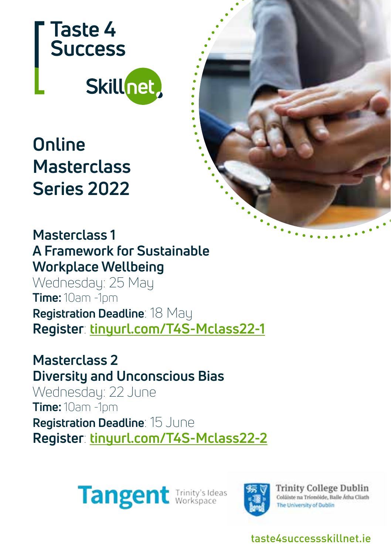

**Online Masterclass Series 2022**

# **Masterclass 1 A Framework for Sustainable Workplace Wellbeing**

Wednesday: 25 May **Time:** 10am -1pm **Registration Deadline**: 18 May **Register**: **tinyurl.com/T4S-Mclass22-1**

**Masterclass 2 Diversity and Unconscious Bias**

Wednesday: 22 June **Time:** 10am -1pm **Registration Deadline**: 15 June **Register**: **tinyurl.com/T4S-Mclass22-2**

**Tangent Trinity's Ideas** 



**Trinity College Dublin** Coláiste na Tríonóide, Baile Átha Cliath The University of Dublin

# taste4successskillnet.ie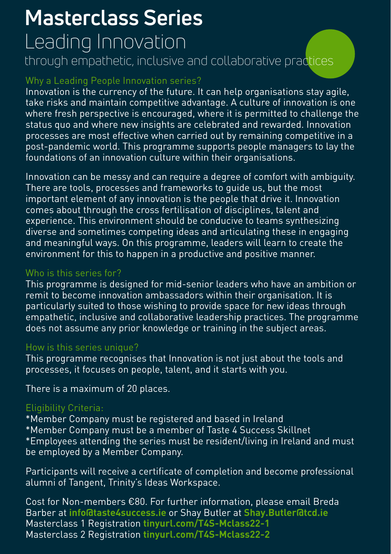# **Masterclass Series**

# Leading Innovation through empathetic, inclusive and collaborative practices

#### Why a Leading People Innovation series?

Innovation is the currency of the future. It can help organisations stay agile, take risks and maintain competitive advantage. A culture of innovation is one where fresh perspective is encouraged, where it is permitted to challenge the status quo and where new insights are celebrated and rewarded. Innovation processes are most effective when carried out by remaining competitive in a post-pandemic world. This programme supports people managers to lay the foundations of an innovation culture within their organisations.

Innovation can be messy and can require a degree of comfort with ambiguity. There are tools, processes and frameworks to guide us, but the most important element of any innovation is the people that drive it. Innovation comes about through the cross fertilisation of disciplines, talent and experience. This environment should be conducive to teams synthesizing diverse and sometimes competing ideas and articulating these in engaging and meaningful ways. On this programme, leaders will learn to create the environment for this to happen in a productive and positive manner.

#### Who is this series for?

This programme is designed for mid-senior leaders who have an ambition or remit to become innovation ambassadors within their organisation. It is particularly suited to those wishing to provide space for new ideas through empathetic, inclusive and collaborative leadership practices. The programme does not assume any prior knowledge or training in the subject areas.

#### How is this series unique?

This programme recognises that Innovation is not just about the tools and processes, it focuses on people, talent, and it starts with you.

There is a maximum of 20 places.

#### Eligibility Criteria:

\*Member Company must be registered and based in Ireland \*Member Company must be a member of Taste 4 Success Skillnet \*Employees attending the series must be resident/living in Ireland and must be employed by a Member Company.

Participants will receive a certificate of completion and become professional alumni of Tangent, Trinity's Ideas Workspace.

Cost for Non-members €80. For further information, please email Breda Barber at **info@taste4success.ie** or Shay Butler at **Shay.Butler@tcd.ie** Masterclass 1 Registration **tinyurl.com/T4S-Mclass22-1** Masterclass 2 Registration **tinyurl.com/T4S-Mclass22-2**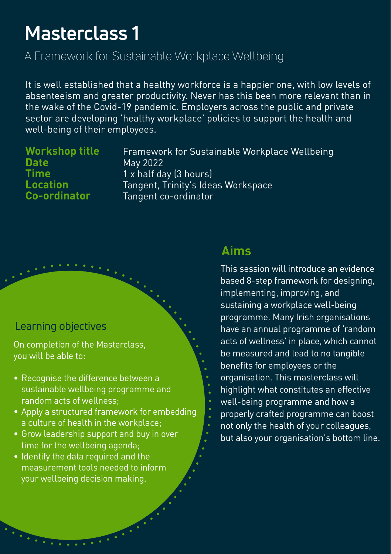# **Masterclass 1**

## A Framework for Sustainable Workplace Wellbeing

It is well established that a healthy workforce is a happier one, with low levels of absenteeism and greater productivity. Never has this been more relevant than in the wake of the Covid-19 pandemic. Employers across the public and private sector are developing 'healthy workplace' policies to support the health and well-being of their employees.

**Date** May 2022<br> **Time** 1 x half data

**Workshop title** Framework for Sustainable Workplace Wellbeing **Time** 1 x half day (3 hours)<br> **Location 1 Tangent Trinity's** Ide **Location** Tangent, Trinity's Ideas Workspace<br>
Co-ordinator Tangent co-ordinator **Co-ordinator** Tangent co-ordinator

### Learning objectives

On completion of the Masterclass, you will be able to:

- Recognise the difference between a sustainable wellbeing programme and random acts of wellness;
- Apply a structured framework for embedding a culture of health in the workplace;
- Grow leadership support and buy in over time for the wellbeing agenda;
- Identify the data required and the measurement tools needed to inform your wellbeing decision making.

## **Aims**

This session will introduce an evidence based 8-step framework for designing, implementing, improving, and sustaining a workplace well-being programme. Many Irish organisations have an annual programme of 'random acts of wellness' in place, which cannot be measured and lead to no tangible benefits for employees or the organisation. This masterclass will highlight what constitutes an effective well-being programme and how a properly crafted programme can boost not only the health of your colleagues, but also your organisation's bottom line.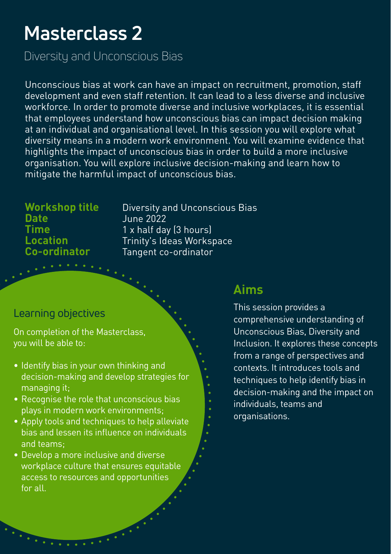# **Masterclass 2**

Diversity and Unconscious Bias

Unconscious bias at work can have an impact on recruitment, promotion, staff development and even staff retention. It can lead to a less diverse and inclusive workforce. In order to promote diverse and inclusive workplaces, it is essential that employees understand how unconscious bias can impact decision making at an individual and organisational level. In this session you will explore what diversity means in a modern work environment. You will examine evidence that highlights the impact of unconscious bias in order to build a more inclusive organisation. You will explore inclusive decision-making and learn how to mitigate the harmful impact of unconscious bias.

# **Date** June 2022

**Workshop title** Diversity and Unconscious Bias **Time** 1 x half day (3 hours)<br> **Location** Trinity's Ideas Works **Location** Trinity's Ideas Workspace<br> **Co-ordinator** Tangent co-ordinator **Co-ordinator** Tangent co-ordinator

### Learning objectives

On completion of the Masterclass, you will be able to:

- Identify bias in your own thinking and decision-making and develop strategies for managing it;
- Recognise the role that unconscious bias plays in modern work environments;
- Apply tools and techniques to help alleviate bias and lessen its influence on individuals and teams;
- Develop a more inclusive and diverse workplace culture that ensures equitable access to resources and opportunities for all.

# **Aims**

This session provides a comprehensive understanding of Unconscious Bias, Diversity and Inclusion. It explores these concepts from a range of perspectives and contexts. It introduces tools and techniques to help identify bias in decision-making and the impact on individuals, teams and organisations.